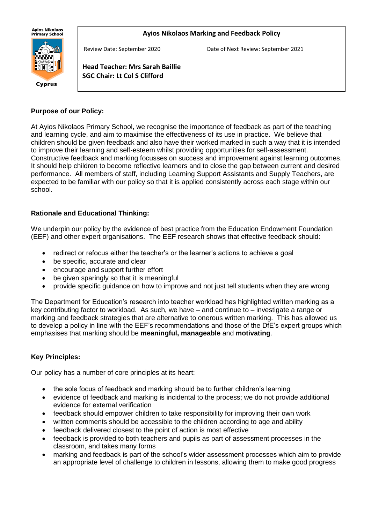**Ayios Nikolaos** ny.cs m.c.c.cs<br>Primary School

#### **Ayios Nikolaos Marking and Feedback Policy**



Review Date: September 2020 Date of Next Review: September 2021

**Head Teacher: Mrs Sarah Baillie SGC Chair: Lt Col S Clifford**

#### **Purpose of our Policy:**

j

At Ayios Nikolaos Primary School, we recognise the importance of feedback as part of the teaching and learning cycle, and aim to maximise the effectiveness of its use in practice. We believe that children should be given feedback and also have their worked marked in such a way that it is intended to improve their learning and self-esteem whilst providing opportunities for self-assessment. Constructive feedback and marking focusses on success and improvement against learning outcomes. It should help children to become reflective learners and to close the gap between current and desired performance. All members of staff, including Learning Support Assistants and Supply Teachers, are expected to be familiar with our policy so that it is applied consistently across each stage within our school.

### **Rationale and Educational Thinking:**

We underpin our policy by the evidence of best practice from the Education Endowment Foundation (EEF) and other expert organisations. The EEF research shows that effective feedback should:

- redirect or refocus either the teacher's or the learner's actions to achieve a goal
- be specific, accurate and clear
- encourage and support further effort
- be given sparingly so that it is meaningful
- provide specific guidance on how to improve and not just tell students when they are wrong

The Department for Education's research into teacher workload has highlighted written marking as a key contributing factor to workload. As such, we have – and continue to – investigate a range or marking and feedback strategies that are alternative to onerous written marking. This has allowed us to develop a policy in line with the EEF's recommendations and those of the DfE's expert groups which emphasises that marking should be **meaningful, manageable** and **motivating**.

# **Key Principles:**

Our policy has a number of core principles at its heart:

- the sole focus of feedback and marking should be to further children's learning
- evidence of feedback and marking is incidental to the process; we do not provide additional evidence for external verification
- feedback should empower children to take responsibility for improving their own work
- written comments should be accessible to the children according to age and ability
- feedback delivered closest to the point of action is most effective
- feedback is provided to both teachers and pupils as part of assessment processes in the classroom, and takes many forms
- marking and feedback is part of the school's wider assessment processes which aim to provide an appropriate level of challenge to children in lessons, allowing them to make good progress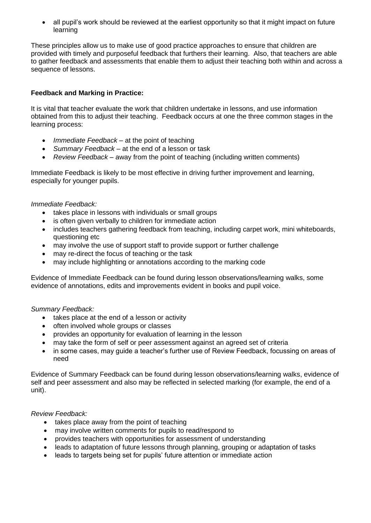• all pupil's work should be reviewed at the earliest opportunity so that it might impact on future learning

These principles allow us to make use of good practice approaches to ensure that children are provided with timely and purposeful feedback that furthers their learning. Also, that teachers are able to gather feedback and assessments that enable them to adjust their teaching both within and across a sequence of lessons.

## **Feedback and Marking in Practice:**

It is vital that teacher evaluate the work that children undertake in lessons, and use information obtained from this to adjust their teaching. Feedback occurs at one the three common stages in the learning process:

- *Immediate Feedback* at the point of teaching
- *Summary Feedback* at the end of a lesson or task
- *Review Feedback* away from the point of teaching (including written comments)

Immediate Feedback is likely to be most effective in driving further improvement and learning, especially for younger pupils.

#### *Immediate Feedback:*

- takes place in lessons with individuals or small groups
- is often given verbally to children for immediate action
- includes teachers gathering feedback from teaching, including carpet work, mini whiteboards, questioning etc
- may involve the use of support staff to provide support or further challenge
- may re-direct the focus of teaching or the task
- may include highlighting or annotations according to the marking code

Evidence of Immediate Feedback can be found during lesson observations/learning walks, some evidence of annotations, edits and improvements evident in books and pupil voice.

#### *Summary Feedback:*

- takes place at the end of a lesson or activity
- often involved whole groups or classes
- provides an opportunity for evaluation of learning in the lesson
- may take the form of self or peer assessment against an agreed set of criteria
- in some cases, may guide a teacher's further use of Review Feedback, focussing on areas of need

Evidence of Summary Feedback can be found during lesson observations/learning walks, evidence of self and peer assessment and also may be reflected in selected marking (for example, the end of a unit).

#### *Review Feedback:*

- takes place away from the point of teaching
- may involve written comments for pupils to read/respond to
- provides teachers with opportunities for assessment of understanding
- leads to adaptation of future lessons through planning, grouping or adaptation of tasks
- leads to targets being set for pupils' future attention or immediate action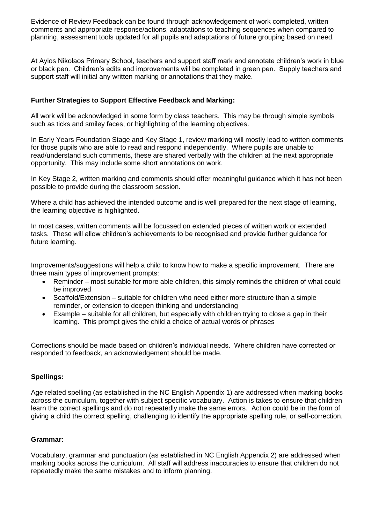Evidence of Review Feedback can be found through acknowledgement of work completed, written comments and appropriate response/actions, adaptations to teaching sequences when compared to planning, assessment tools updated for all pupils and adaptations of future grouping based on need.

At Ayios Nikolaos Primary School, teachers and support staff mark and annotate children's work in blue or black pen. Children's edits and improvements will be completed in green pen. Supply teachers and support staff will initial any written marking or annotations that they make.

### **Further Strategies to Support Effective Feedback and Marking:**

All work will be acknowledged in some form by class teachers. This may be through simple symbols such as ticks and smiley faces, or highlighting of the learning objectives.

In Early Years Foundation Stage and Key Stage 1, review marking will mostly lead to written comments for those pupils who are able to read and respond independently. Where pupils are unable to read/understand such comments, these are shared verbally with the children at the next appropriate opportunity. This may include some short annotations on work.

In Key Stage 2, written marking and comments should offer meaningful guidance which it has not been possible to provide during the classroom session.

Where a child has achieved the intended outcome and is well prepared for the next stage of learning, the learning objective is highlighted.

In most cases, written comments will be focussed on extended pieces of written work or extended tasks. These will allow children's achievements to be recognised and provide further guidance for future learning.

Improvements/suggestions will help a child to know how to make a specific improvement. There are three main types of improvement prompts:

- Reminder most suitable for more able children, this simply reminds the children of what could be improved
- Scaffold/Extension suitable for children who need either more structure than a simple reminder, or extension to deepen thinking and understanding
- Example suitable for all children, but especially with children trying to close a gap in their learning. This prompt gives the child a choice of actual words or phrases

Corrections should be made based on children's individual needs. Where children have corrected or responded to feedback, an acknowledgement should be made.

#### **Spellings:**

Age related spelling (as established in the NC English Appendix 1) are addressed when marking books across the curriculum, together with subject specific vocabulary. Action is takes to ensure that children learn the correct spellings and do not repeatedly make the same errors. Action could be in the form of giving a child the correct spelling, challenging to identify the appropriate spelling rule, or self-correction.

#### **Grammar:**

Vocabulary, grammar and punctuation (as established in NC English Appendix 2) are addressed when marking books across the curriculum. All staff will address inaccuracies to ensure that children do not repeatedly make the same mistakes and to inform planning.